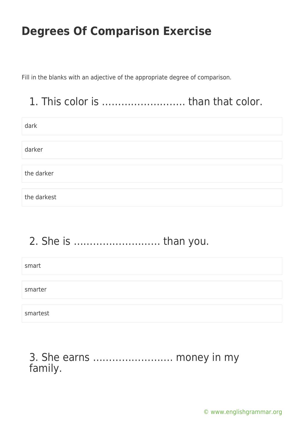Fill in the blanks with an adjective of the appropriate degree of comparison.

## 1. This color is …………………….. than that color.

| dark        |
|-------------|
|             |
| darker      |
|             |
| the darker  |
|             |
| the darkest |

# 2. She is ……………………… than you.

| smart    |  |  |  |
|----------|--|--|--|
|          |  |  |  |
| smarter  |  |  |  |
|          |  |  |  |
| smartest |  |  |  |

### 3. She earns ……………………. money in my family.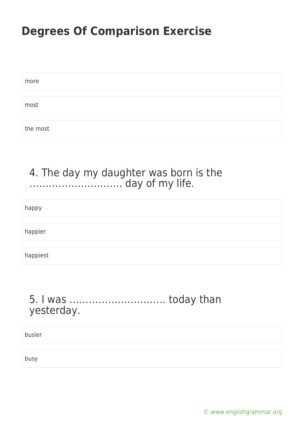| more     |  |  |
|----------|--|--|
|          |  |  |
| most     |  |  |
|          |  |  |
| the most |  |  |

### 4. The day my daughter was born is the ……………………….. day of my life.

happy

happier

happiest

#### 5. I was ………………………… today than yesterday.

busier

busy

[© www.englishgrammar.org](https://www.englishgrammar.org/)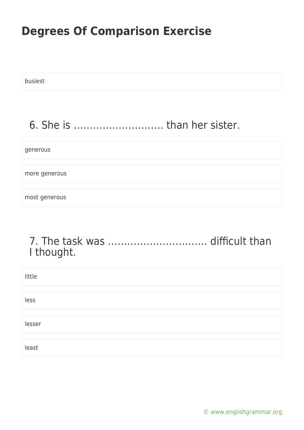busiest

### 6. She is ………………………. than her sister.

#### generous

more generous

most generous

### 7. The task was …………………………. difficult than I thought.

| little |  |
|--------|--|
|        |  |
| less   |  |
|        |  |
| lesser |  |
|        |  |
| least  |  |

[© www.englishgrammar.org](https://www.englishgrammar.org/)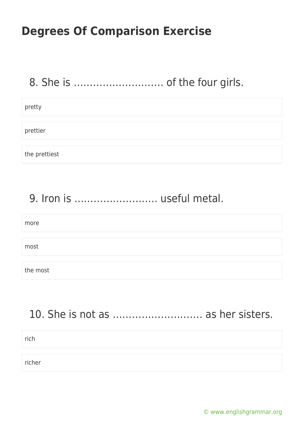### 8. She is ………………………. of the four girls.

pretty prettier the prettiest

### 9. Iron is …………………….. useful metal.

| more     |  |
|----------|--|
|          |  |
| most     |  |
|          |  |
| the most |  |

### 10. She is not as ………………………. as her sisters.

rich

richer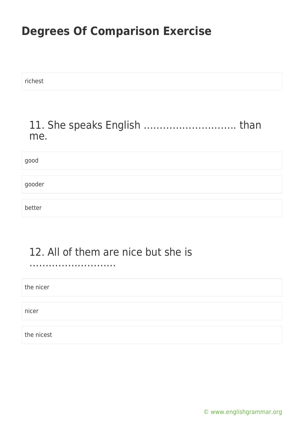richest

#### 11. She speaks English ……………………….. than me.

good

gooder

better

### 12. All of them are nice but she is

………………………

the nicer

nicer

the nicest

[© www.englishgrammar.org](https://www.englishgrammar.org/)